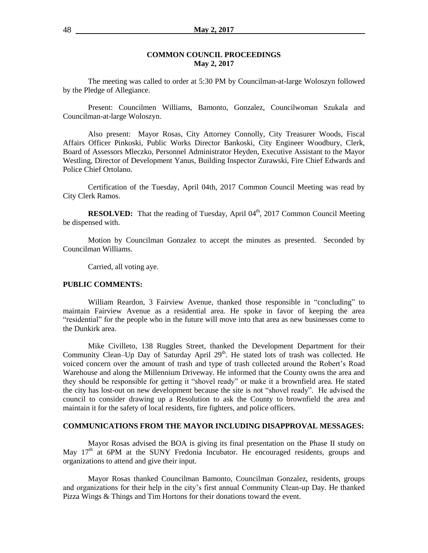#### **COMMON COUNCIL PROCEEDINGS May 2, 2017**

The meeting was called to order at 5:30 PM by Councilman-at-large Woloszyn followed by the Pledge of Allegiance.

Present: Councilmen Williams, Bamonto, Gonzalez, Councilwoman Szukala and Councilman-at-large Woloszyn.

Also present: Mayor Rosas, City Attorney Connolly, City Treasurer Woods, Fiscal Affairs Officer Pinkoski, Public Works Director Bankoski, City Engineer Woodbury, Clerk, Board of Assessors Mleczko, Personnel Administrator Heyden, Executive Assistant to the Mayor Westling, Director of Development Yanus, Building Inspector Zurawski, Fire Chief Edwards and Police Chief Ortolano.

Certification of the Tuesday, April 04th, 2017 Common Council Meeting was read by City Clerk Ramos.

**RESOLVED:** That the reading of Tuesday, April 04<sup>th</sup>, 2017 Common Council Meeting be dispensed with.

Motion by Councilman Gonzalez to accept the minutes as presented. Seconded by Councilman Williams.

Carried, all voting aye.

#### **PUBLIC COMMENTS:**

William Reardon, 3 Fairview Avenue, thanked those responsible in "concluding" to maintain Fairview Avenue as a residential area. He spoke in favor of keeping the area "residential" for the people who in the future will move into that area as new businesses come to the Dunkirk area.

Mike Civilleto, 138 Ruggles Street, thanked the Development Department for their Community Clean–Up Day of Saturday April  $29<sup>th</sup>$ . He stated lots of trash was collected. He voiced concern over the amount of trash and type of trash collected around the Robert's Road Warehouse and along the Millennium Driveway. He informed that the County owns the area and they should be responsible for getting it "shovel ready" or make it a brownfield area. He stated the city has lost-out on new development because the site is not "shovel ready". He advised the council to consider drawing up a Resolution to ask the County to brownfield the area and maintain it for the safety of local residents, fire fighters, and police officers.

#### **COMMUNICATIONS FROM THE MAYOR INCLUDING DISAPPROVAL MESSAGES:**

Mayor Rosas advised the BOA is giving its final presentation on the Phase II study on May  $17<sup>th</sup>$  at 6PM at the SUNY Fredonia Incubator. He encouraged residents, groups and organizations to attend and give their input.

Mayor Rosas thanked Councilman Bamonto, Councilman Gonzalez, residents, groups and organizations for their help in the city's first annual Community Clean-up Day. He thanked Pizza Wings & Things and Tim Hortons for their donations toward the event.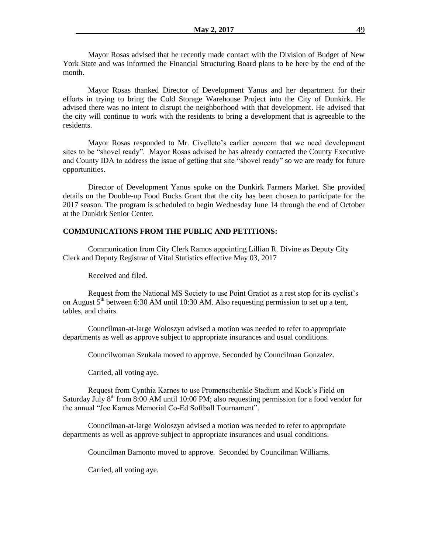Mayor Rosas advised that he recently made contact with the Division of Budget of New York State and was informed the Financial Structuring Board plans to be here by the end of the month.

Mayor Rosas thanked Director of Development Yanus and her department for their efforts in trying to bring the Cold Storage Warehouse Project into the City of Dunkirk. He advised there was no intent to disrupt the neighborhood with that development. He advised that the city will continue to work with the residents to bring a development that is agreeable to the residents.

Mayor Rosas responded to Mr. Civelleto's earlier concern that we need development sites to be "shovel ready". Mayor Rosas advised he has already contacted the County Executive and County IDA to address the issue of getting that site "shovel ready" so we are ready for future opportunities.

Director of Development Yanus spoke on the Dunkirk Farmers Market. She provided details on the Double-up Food Bucks Grant that the city has been chosen to participate for the 2017 season. The program is scheduled to begin Wednesday June 14 through the end of October at the Dunkirk Senior Center.

#### **COMMUNICATIONS FROM THE PUBLIC AND PETITIONS:**

Communication from City Clerk Ramos appointing Lillian R. Divine as Deputy City Clerk and Deputy Registrar of Vital Statistics effective May 03, 2017

Received and filed.

Request from the National MS Society to use Point Gratiot as a rest stop for its cyclist's on August  $5<sup>th</sup>$  between 6:30 AM until 10:30 AM. Also requesting permission to set up a tent, tables, and chairs.

Councilman-at-large Woloszyn advised a motion was needed to refer to appropriate departments as well as approve subject to appropriate insurances and usual conditions.

Councilwoman Szukala moved to approve. Seconded by Councilman Gonzalez.

Carried, all voting aye.

Request from Cynthia Karnes to use Promenschenkle Stadium and Kock's Field on Saturday July  $8<sup>th</sup>$  from 8:00 AM until 10:00 PM; also requesting permission for a food vendor for the annual "Joe Karnes Memorial Co-Ed Softball Tournament".

Councilman-at-large Woloszyn advised a motion was needed to refer to appropriate departments as well as approve subject to appropriate insurances and usual conditions.

Councilman Bamonto moved to approve. Seconded by Councilman Williams.

Carried, all voting aye.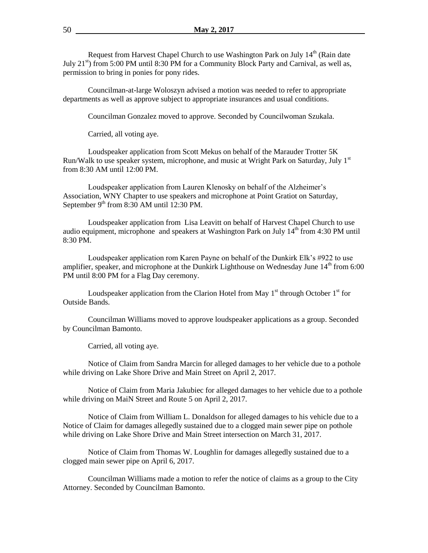Request from Harvest Chapel Church to use Washington Park on July  $14<sup>th</sup>$  (Rain date July  $21<sup>st</sup>$ ) from 5:00 PM until 8:30 PM for a Community Block Party and Carnival, as well as, permission to bring in ponies for pony rides.

Councilman-at-large Woloszyn advised a motion was needed to refer to appropriate departments as well as approve subject to appropriate insurances and usual conditions.

Councilman Gonzalez moved to approve. Seconded by Councilwoman Szukala.

Carried, all voting aye.

Loudspeaker application from Scott Mekus on behalf of the Marauder Trotter 5K Run/Walk to use speaker system, microphone, and music at Wright Park on Saturday, July 1<sup>st</sup> from 8:30 AM until 12:00 PM.

Loudspeaker application from Lauren Klenosky on behalf of the Alzheimer's Association, WNY Chapter to use speakers and microphone at Point Gratiot on Saturday, September  $9<sup>th</sup>$  from 8:30 AM until 12:30 PM.

Loudspeaker application from Lisa Leavitt on behalf of Harvest Chapel Church to use audio equipment, microphone and speakers at Washington Park on July  $14<sup>th</sup>$  from 4:30 PM until 8:30 PM.

Loudspeaker application rom Karen Payne on behalf of the Dunkirk Elk's #922 to use amplifier, speaker, and microphone at the Dunkirk Lighthouse on Wednesday June  $14<sup>th</sup>$  from 6:00 PM until 8:00 PM for a Flag Day ceremony.

Loudspeaker application from the Clarion Hotel from May  $1<sup>st</sup>$  through October  $1<sup>st</sup>$  for Outside Bands.

Councilman Williams moved to approve loudspeaker applications as a group. Seconded by Councilman Bamonto.

Carried, all voting aye.

Notice of Claim from Sandra Marcin for alleged damages to her vehicle due to a pothole while driving on Lake Shore Drive and Main Street on April 2, 2017.

Notice of Claim from Maria Jakubiec for alleged damages to her vehicle due to a pothole while driving on MaiN Street and Route 5 on April 2, 2017.

Notice of Claim from William L. Donaldson for alleged damages to his vehicle due to a Notice of Claim for damages allegedly sustained due to a clogged main sewer pipe on pothole while driving on Lake Shore Drive and Main Street intersection on March 31, 2017.

Notice of Claim from Thomas W. Loughlin for damages allegedly sustained due to a clogged main sewer pipe on April 6, 2017.

Councilman Williams made a motion to refer the notice of claims as a group to the City Attorney. Seconded by Councilman Bamonto.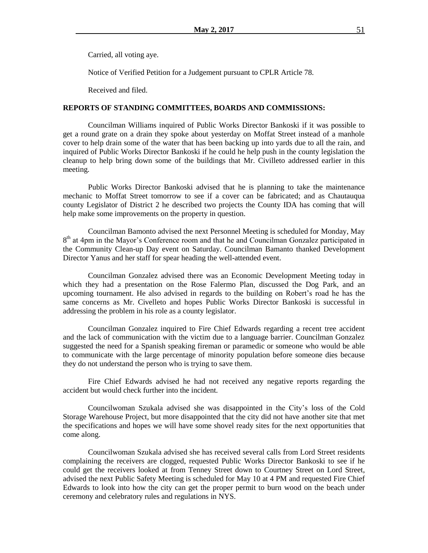Carried, all voting aye.

Notice of Verified Petition for a Judgement pursuant to CPLR Article 78.

Received and filed.

#### **REPORTS OF STANDING COMMITTEES, BOARDS AND COMMISSIONS:**

Councilman Williams inquired of Public Works Director Bankoski if it was possible to get a round grate on a drain they spoke about yesterday on Moffat Street instead of a manhole cover to help drain some of the water that has been backing up into yards due to all the rain, and inquired of Public Works Director Bankoski if he could he help push in the county legislation the cleanup to help bring down some of the buildings that Mr. Civilleto addressed earlier in this meeting.

Public Works Director Bankoski advised that he is planning to take the maintenance mechanic to Moffat Street tomorrow to see if a cover can be fabricated; and as Chautauqua county Legislator of District 2 he described two projects the County IDA has coming that will help make some improvements on the property in question.

Councilman Bamonto advised the next Personnel Meeting is scheduled for Monday, May 8<sup>th</sup> at 4pm in the Mayor's Conference room and that he and Councilman Gonzalez participated in the Community Clean-up Day event on Saturday. Councilman Bamanto thanked Development Director Yanus and her staff for spear heading the well-attended event.

Councilman Gonzalez advised there was an Economic Development Meeting today in which they had a presentation on the Rose Falermo Plan, discussed the Dog Park, and an upcoming tournament. He also advised in regards to the building on Robert's road he has the same concerns as Mr. Civelleto and hopes Public Works Director Bankoski is successful in addressing the problem in his role as a county legislator.

Councilman Gonzalez inquired to Fire Chief Edwards regarding a recent tree accident and the lack of communication with the victim due to a language barrier. Councilman Gonzalez suggested the need for a Spanish speaking fireman or paramedic or someone who would be able to communicate with the large percentage of minority population before someone dies because they do not understand the person who is trying to save them.

Fire Chief Edwards advised he had not received any negative reports regarding the accident but would check further into the incident.

Councilwoman Szukala advised she was disappointed in the City's loss of the Cold Storage Warehouse Project, but more disappointed that the city did not have another site that met the specifications and hopes we will have some shovel ready sites for the next opportunities that come along.

Councilwoman Szukala advised she has received several calls from Lord Street residents complaining the receivers are clogged, requested Public Works Director Bankoski to see if he could get the receivers looked at from Tenney Street down to Courtney Street on Lord Street, advised the next Public Safety Meeting is scheduled for May 10 at 4 PM and requested Fire Chief Edwards to look into how the city can get the proper permit to burn wood on the beach under ceremony and celebratory rules and regulations in NYS.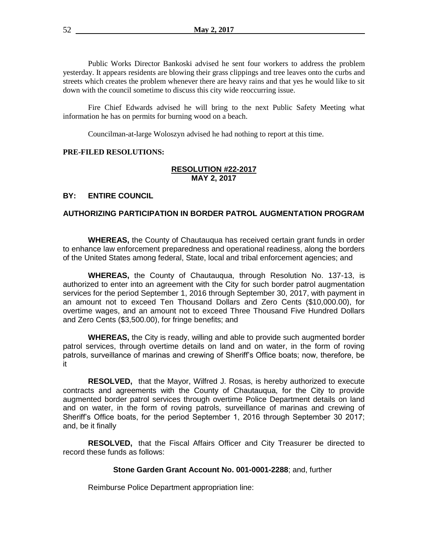Public Works Director Bankoski advised he sent four workers to address the problem yesterday. It appears residents are blowing their grass clippings and tree leaves onto the curbs and streets which creates the problem whenever there are heavy rains and that yes he would like to sit down with the council sometime to discuss this city wide reoccurring issue.

Fire Chief Edwards advised he will bring to the next Public Safety Meeting what information he has on permits for burning wood on a beach.

Councilman-at-large Woloszyn advised he had nothing to report at this time.

## **PRE-FILED RESOLUTIONS:**

## **RESOLUTION #22-2017 MAY 2, 2017**

## **BY: ENTIRE COUNCIL**

#### **AUTHORIZING PARTICIPATION IN BORDER PATROL AUGMENTATION PROGRAM**

**WHEREAS,** the County of Chautauqua has received certain grant funds in order to enhance law enforcement preparedness and operational readiness, along the borders of the United States among federal, State, local and tribal enforcement agencies; and

**WHEREAS,** the County of Chautauqua, through Resolution No. 137-13, is authorized to enter into an agreement with the City for such border patrol augmentation services for the period September 1, 2016 through September 30, 2017, with payment in an amount not to exceed Ten Thousand Dollars and Zero Cents (\$10,000.00), for overtime wages, and an amount not to exceed Three Thousand Five Hundred Dollars and Zero Cents (\$3,500.00), for fringe benefits; and

**WHEREAS,** the City is ready, willing and able to provide such augmented border patrol services, through overtime details on land and on water, in the form of roving patrols, surveillance of marinas and crewing of Sheriff's Office boats; now, therefore, be it

**RESOLVED,** that the Mayor, Wilfred J. Rosas, is hereby authorized to execute contracts and agreements with the County of Chautauqua, for the City to provide augmented border patrol services through overtime Police Department details on land and on water, in the form of roving patrols, surveillance of marinas and crewing of Sheriff's Office boats, for the period September 1, 2016 through September 30 2017; and, be it finally

**RESOLVED,** that the Fiscal Affairs Officer and City Treasurer be directed to record these funds as follows:

#### **Stone Garden Grant Account No. 001-0001-2288**; and, further

Reimburse Police Department appropriation line: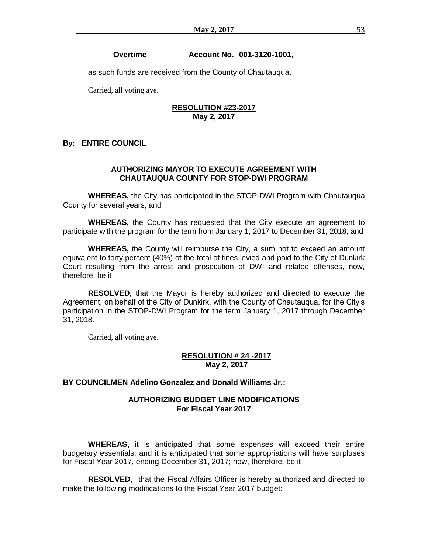#### **Overtime Account No. 001-3120-1001**,

as such funds are received from the County of Chautauqua.

Carried, all voting aye.

## **RESOLUTION #23-2017 May 2, 2017**

## **By: ENTIRE COUNCIL**

### **AUTHORIZING MAYOR TO EXECUTE AGREEMENT WITH CHAUTAUQUA COUNTY FOR STOP-DWI PROGRAM**

**WHEREAS,** the City has participated in the STOP-DWI Program with Chautauqua County for several years, and

**WHEREAS,** the County has requested that the City execute an agreement to participate with the program for the term from January 1, 2017 to December 31, 2018, and

**WHEREAS,** the County will reimburse the City, a sum not to exceed an amount equivalent to forty percent (40%) of the total of fines levied and paid to the City of Dunkirk Court resulting from the arrest and prosecution of DWI and related offenses, now, therefore, be it

**RESOLVED,** that the Mayor is hereby authorized and directed to execute the Agreement, on behalf of the City of Dunkirk, with the County of Chautauqua, for the City's participation in the STOP-DWI Program for the term January 1, 2017 through December 31, 2018.

Carried, all voting aye.

### **RESOLUTION # 24 -2017 May 2, 2017**

### **BY COUNCILMEN Adelino Gonzalez and Donald Williams Jr.:**

### **AUTHORIZING BUDGET LINE MODIFICATIONS For Fiscal Year 2017**

**WHEREAS,** it is anticipated that some expenses will exceed their entire budgetary essentials, and it is anticipated that some appropriations will have surpluses for Fiscal Year 2017, ending December 31, 2017; now, therefore, be it

**RESOLVED**, that the Fiscal Affairs Officer is hereby authorized and directed to make the following modifications to the Fiscal Year 2017 budget: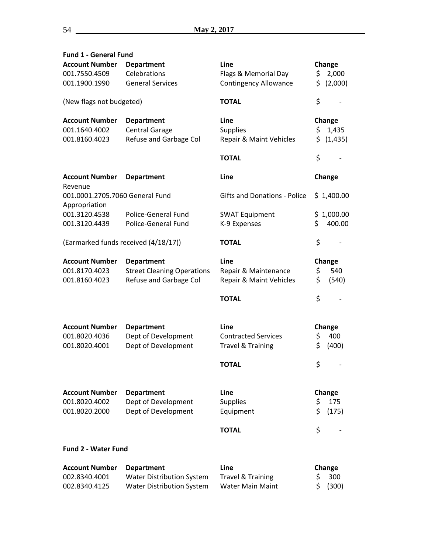| <b>Fund 1 - General Fund</b><br><b>Account Number</b> | <b>Department</b>                 | Line                                | Change              |          |  |  |
|-------------------------------------------------------|-----------------------------------|-------------------------------------|---------------------|----------|--|--|
| 001.7550.4509                                         | Celebrations                      | Flags & Memorial Day                | \$                  | 2,000    |  |  |
| 001.1900.1990                                         | <b>General Services</b>           | <b>Contingency Allowance</b>        | \$                  | (2,000)  |  |  |
|                                                       |                                   |                                     |                     |          |  |  |
| (New flags not budgeted)                              |                                   | <b>TOTAL</b>                        | \$                  |          |  |  |
| <b>Account Number</b>                                 | <b>Department</b>                 | Line                                | Change              |          |  |  |
| 001.1640.4002                                         | <b>Central Garage</b>             | <b>Supplies</b>                     | \$                  | 1,435    |  |  |
| 001.8160.4023                                         | Refuse and Garbage Col            | Repair & Maint Vehicles             | \$.                 | (1, 435) |  |  |
|                                                       |                                   |                                     |                     |          |  |  |
|                                                       |                                   | <b>TOTAL</b>                        | \$                  |          |  |  |
| <b>Account Number</b><br>Revenue                      | <b>Department</b>                 | Line                                | Change              |          |  |  |
| 001.0001.2705.7060 General Fund<br>Appropriation      |                                   | <b>Gifts and Donations - Police</b> | \$1,400.00          |          |  |  |
| 001.3120.4538                                         | Police-General Fund               | <b>SWAT Equipment</b>               | \$                  | 1,000.00 |  |  |
| 001.3120.4439                                         | <b>Police-General Fund</b>        | K-9 Expenses                        | \$                  | 400.00   |  |  |
|                                                       |                                   |                                     |                     |          |  |  |
| (Earmarked funds received (4/18/17))                  |                                   | <b>TOTAL</b>                        | \$                  |          |  |  |
| <b>Account Number</b>                                 | <b>Department</b>                 | Line                                | Change              |          |  |  |
| 001.8170.4023                                         | <b>Street Cleaning Operations</b> | Repair & Maintenance                | \$                  | 540      |  |  |
| 001.8160.4023                                         | Refuse and Garbage Col            | Repair & Maint Vehicles             | \$                  | (540)    |  |  |
|                                                       |                                   | <b>TOTAL</b>                        | \$                  |          |  |  |
|                                                       |                                   |                                     |                     |          |  |  |
| <b>Account Number</b>                                 | <b>Department</b>                 | Line                                | Change              |          |  |  |
| 001.8020.4036                                         | Dept of Development               | <b>Contracted Services</b>          | \$                  | 400      |  |  |
| 001.8020.4001                                         | Dept of Development               | <b>Travel &amp; Training</b>        | \$                  | (400)    |  |  |
|                                                       |                                   | <b>TOTAL</b>                        | \$                  |          |  |  |
|                                                       |                                   |                                     |                     |          |  |  |
| <b>Account Number</b>                                 | <b>Department</b>                 | Line                                | Change              |          |  |  |
| 001.8020.4002                                         | Dept of Development               | <b>Supplies</b>                     | \$                  | 175      |  |  |
| 001.8020.2000                                         | Dept of Development               | Equipment                           | \$                  | (175)    |  |  |
|                                                       |                                   | <b>TOTAL</b>                        | \$                  |          |  |  |
| <b>Fund 2 - Water Fund</b>                            |                                   |                                     |                     |          |  |  |
| <b>Account Number</b>                                 | <b>Department</b>                 | Line                                |                     |          |  |  |
| 002.8340.4001                                         | <b>Water Distribution System</b>  | <b>Travel &amp; Training</b>        | Change<br>\$<br>300 |          |  |  |
| 002.8340.4125                                         | <b>Water Distribution System</b>  | <b>Water Main Maint</b>             | \$                  | (300)    |  |  |
|                                                       |                                   |                                     |                     |          |  |  |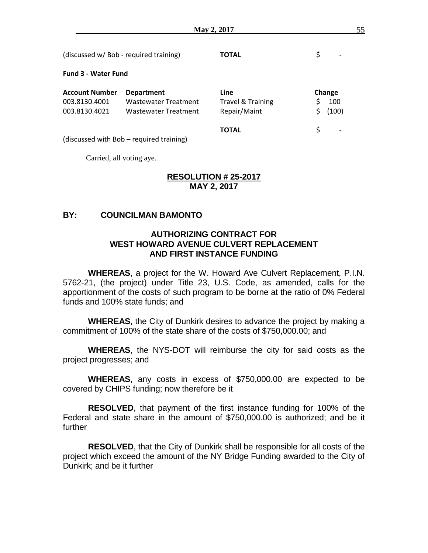| (discussed w/ Bob - required training)                  |                                                                          | ΤΟΤΑL                                                |                        |
|---------------------------------------------------------|--------------------------------------------------------------------------|------------------------------------------------------|------------------------|
| <b>Fund 3 - Water Fund</b>                              |                                                                          |                                                      |                        |
| <b>Account Number</b><br>003.8130.4001<br>003.8130.4021 | <b>Department</b><br><b>Wastewater Treatment</b><br>Wastewater Treatment | Line<br><b>Travel &amp; Training</b><br>Repair/Maint | Change<br>100<br>(100) |
|                                                         | (discussed with Bob – required training)                                 | <b>TOTAL</b>                                         | Ś                      |

Carried, all voting aye.

## **RESOLUTION # 25-2017 MAY 2, 2017**

# **BY: COUNCILMAN BAMONTO**

# **AUTHORIZING CONTRACT FOR WEST HOWARD AVENUE CULVERT REPLACEMENT AND FIRST INSTANCE FUNDING**

**WHEREAS**, a project for the W. Howard Ave Culvert Replacement, P.I.N. 5762-21, (the project) under Title 23, U.S. Code, as amended, calls for the apportionment of the costs of such program to be borne at the ratio of 0% Federal funds and 100% state funds; and

**WHEREAS**, the City of Dunkirk desires to advance the project by making a commitment of 100% of the state share of the costs of \$750,000.00; and

**WHEREAS**, the NYS-DOT will reimburse the city for said costs as the project progresses; and

**WHEREAS**, any costs in excess of \$750,000.00 are expected to be covered by CHIPS funding; now therefore be it

**RESOLVED**, that payment of the first instance funding for 100% of the Federal and state share in the amount of \$750,000.00 is authorized; and be it further

**RESOLVED**, that the City of Dunkirk shall be responsible for all costs of the project which exceed the amount of the NY Bridge Funding awarded to the City of Dunkirk; and be it further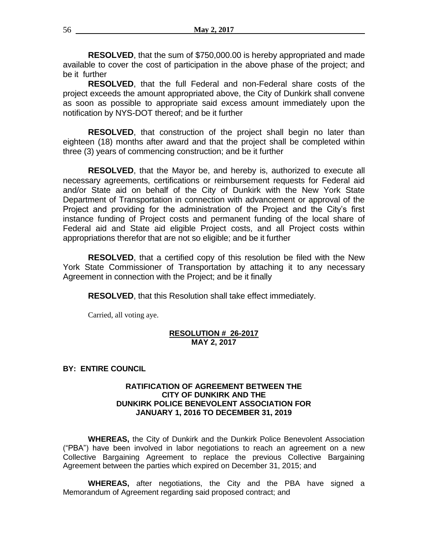**RESOLVED**, that the sum of \$750,000.00 is hereby appropriated and made available to cover the cost of participation in the above phase of the project; and be it further

**RESOLVED**, that the full Federal and non-Federal share costs of the project exceeds the amount appropriated above, the City of Dunkirk shall convene as soon as possible to appropriate said excess amount immediately upon the notification by NYS-DOT thereof; and be it further

**RESOLVED**, that construction of the project shall begin no later than eighteen (18) months after award and that the project shall be completed within three (3) years of commencing construction; and be it further

**RESOLVED**, that the Mayor be, and hereby is, authorized to execute all necessary agreements, certifications or reimbursement requests for Federal aid and/or State aid on behalf of the City of Dunkirk with the New York State Department of Transportation in connection with advancement or approval of the Project and providing for the administration of the Project and the City's first instance funding of Project costs and permanent funding of the local share of Federal aid and State aid eligible Project costs, and all Project costs within appropriations therefor that are not so eligible; and be it further

**RESOLVED**, that a certified copy of this resolution be filed with the New York State Commissioner of Transportation by attaching it to any necessary Agreement in connection with the Project; and be it finally

**RESOLVED**, that this Resolution shall take effect immediately.

Carried, all voting aye.

## **RESOLUTION # 26-2017 MAY 2, 2017**

## **BY: ENTIRE COUNCIL**

## **RATIFICATION OF AGREEMENT BETWEEN THE CITY OF DUNKIRK AND THE DUNKIRK POLICE BENEVOLENT ASSOCIATION FOR JANUARY 1, 2016 TO DECEMBER 31, 2019**

**WHEREAS,** the City of Dunkirk and the Dunkirk Police Benevolent Association ("PBA") have been involved in labor negotiations to reach an agreement on a new Collective Bargaining Agreement to replace the previous Collective Bargaining Agreement between the parties which expired on December 31, 2015; and

**WHEREAS,** after negotiations, the City and the PBA have signed a Memorandum of Agreement regarding said proposed contract; and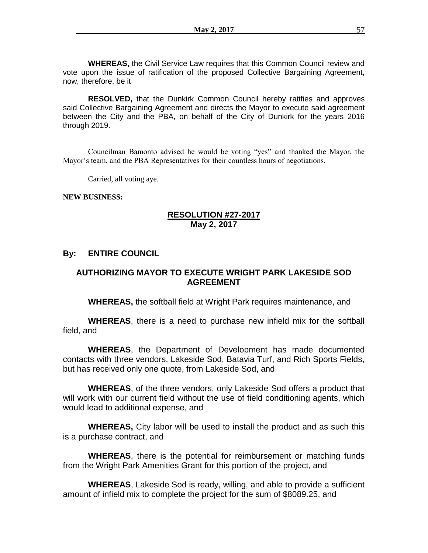**WHEREAS,** the Civil Service Law requires that this Common Council review and vote upon the issue of ratification of the proposed Collective Bargaining Agreement, now, therefore, be it

**RESOLVED,** that the Dunkirk Common Council hereby ratifies and approves said Collective Bargaining Agreement and directs the Mayor to execute said agreement between the City and the PBA, on behalf of the City of Dunkirk for the years 2016 through 2019.

Councilman Bamonto advised he would be voting "yes" and thanked the Mayor, the Mayor's team, and the PBA Representatives for their countless hours of negotiations.

Carried, all voting aye.

#### **NEW BUSINESS:**

# **RESOLUTION #27-2017 May 2, 2017**

## **By: ENTIRE COUNCIL**

# **AUTHORIZING MAYOR TO EXECUTE WRIGHT PARK LAKESIDE SOD AGREEMENT**

**WHEREAS,** the softball field at Wright Park requires maintenance, and

**WHEREAS**, there is a need to purchase new infield mix for the softball field, and

**WHEREAS**, the Department of Development has made documented contacts with three vendors, Lakeside Sod, Batavia Turf, and Rich Sports Fields, but has received only one quote, from Lakeside Sod, and

**WHEREAS**, of the three vendors, only Lakeside Sod offers a product that will work with our current field without the use of field conditioning agents, which would lead to additional expense, and

**WHEREAS,** City labor will be used to install the product and as such this is a purchase contract, and

**WHEREAS**, there is the potential for reimbursement or matching funds from the Wright Park Amenities Grant for this portion of the project, and

**WHEREAS**, Lakeside Sod is ready, willing, and able to provide a sufficient amount of infield mix to complete the project for the sum of \$8089.25, and